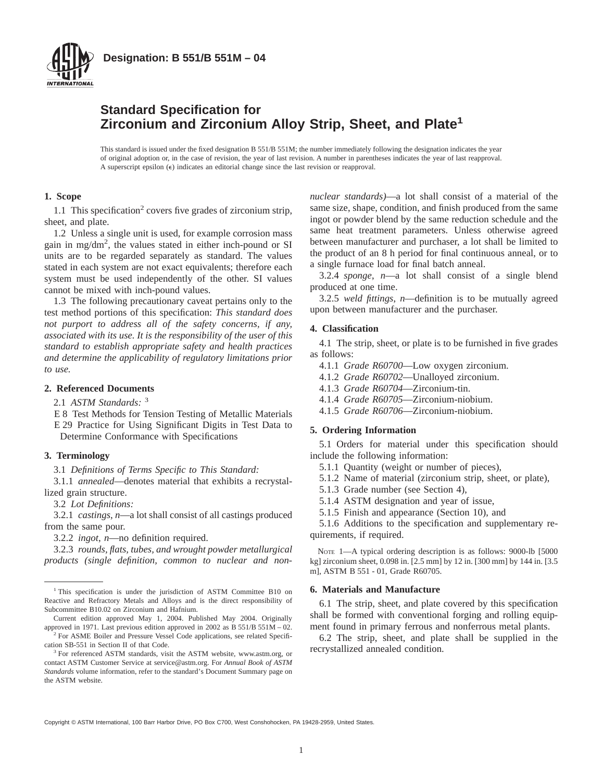

# **Standard Specification for Zirconium and Zirconium Alloy Strip, Sheet, and Plate<sup>1</sup>**

This standard is issued under the fixed designation B 551/B 551M; the number immediately following the designation indicates the year of original adoption or, in the case of revision, the year of last revision. A number in parentheses indicates the year of last reapproval. A superscript epsilon  $(\epsilon)$  indicates an editorial change since the last revision or reapproval.

# **1. Scope**

1.1 This specification<sup>2</sup> covers five grades of zirconium strip, sheet, and plate.

1.2 Unless a single unit is used, for example corrosion mass gain in mg/dm2 , the values stated in either inch-pound or SI units are to be regarded separately as standard. The values stated in each system are not exact equivalents; therefore each system must be used independently of the other. SI values cannot be mixed with inch-pound values.

1.3 The following precautionary caveat pertains only to the test method portions of this specification: *This standard does not purport to address all of the safety concerns, if any, associated with its use. It is the responsibility of the user of this standard to establish appropriate safety and health practices and determine the applicability of regulatory limitations prior to use.*

#### **2. Referenced Documents**

2.1 *ASTM Standards:* <sup>3</sup>

E 8 Test Methods for Tension Testing of Metallic Materials E 29 Practice for Using Significant Digits in Test Data to Determine Conformance with Specifications

#### **3. Terminology**

3.1 *Definitions of Terms Specific to This Standard:*

3.1.1 *annealed*—denotes material that exhibits a recrystallized grain structure.

3.2 *Lot Definitions:*

3.2.1 *castings*, *n*—a lot shall consist of all castings produced from the same pour.

3.2.2 *ingot*, *n*—no definition required.

3.2.3 *rounds, flats, tubes, and wrought powder metallurgical products (single definition, common to nuclear and non-* *nuclear standards)*—a lot shall consist of a material of the same size, shape, condition, and finish produced from the same ingot or powder blend by the same reduction schedule and the same heat treatment parameters. Unless otherwise agreed between manufacturer and purchaser, a lot shall be limited to the product of an 8 h period for final continuous anneal, or to a single furnace load for final batch anneal.

3.2.4 *sponge*, *n*—a lot shall consist of a single blend produced at one time.

3.2.5 *weld fittings*, *n*—definition is to be mutually agreed upon between manufacturer and the purchaser.

### **4. Classification**

4.1 The strip, sheet, or plate is to be furnished in five grades as follows:

4.1.1 *Grade R60700*—Low oxygen zirconium.

- 4.1.2 *Grade R60702*—Unalloyed zirconium.
- 4.1.3 *Grade R60704*—Zirconium-tin.
- 4.1.4 *Grade R60705*—Zirconium-niobium.
- 4.1.5 *Grade R60706*—Zirconium-niobium.

## **5. Ordering Information**

5.1 Orders for material under this specification should include the following information:

- 5.1.1 Quantity (weight or number of pieces),
- 5.1.2 Name of material (zirconium strip, sheet, or plate),
- 5.1.3 Grade number (see Section 4),
- 5.1.4 ASTM designation and year of issue,
- 5.1.5 Finish and appearance (Section 10), and

5.1.6 Additions to the specification and supplementary requirements, if required.

NOTE 1—A typical ordering description is as follows: 9000-lb [5000 kg] zirconium sheet, 0.098 in. [2.5 mm] by 12 in. [300 mm] by 144 in. [3.5 m], ASTM B 551 - 01, Grade R60705.

## **6. Materials and Manufacture**

6.1 The strip, sheet, and plate covered by this specification shall be formed with conventional forging and rolling equipment found in primary ferrous and nonferrous metal plants.

6.2 The strip, sheet, and plate shall be supplied in the recrystallized annealed condition.

Copyright © ASTM International, 100 Barr Harbor Drive, PO Box C700, West Conshohocken, PA 19428-2959, United States.

<sup>&</sup>lt;sup>1</sup> This specification is under the jurisdiction of ASTM Committee B10 on Reactive and Refractory Metals and Alloys and is the direct responsibility of Subcommittee B10.02 on Zirconium and Hafnium.

Current edition approved May 1, 2004. Published May 2004. Originally approved in 1971. Last previous edition approved in 2002 as B 551/B 551M – 02.

<sup>2</sup> For ASME Boiler and Pressure Vessel Code applications, see related Specification SB-551 in Section II of that Code.

<sup>&</sup>lt;sup>3</sup> For referenced ASTM standards, visit the ASTM website, www.astm.org, or contact ASTM Customer Service at service@astm.org. For *Annual Book of ASTM Standards* volume information, refer to the standard's Document Summary page on the ASTM website.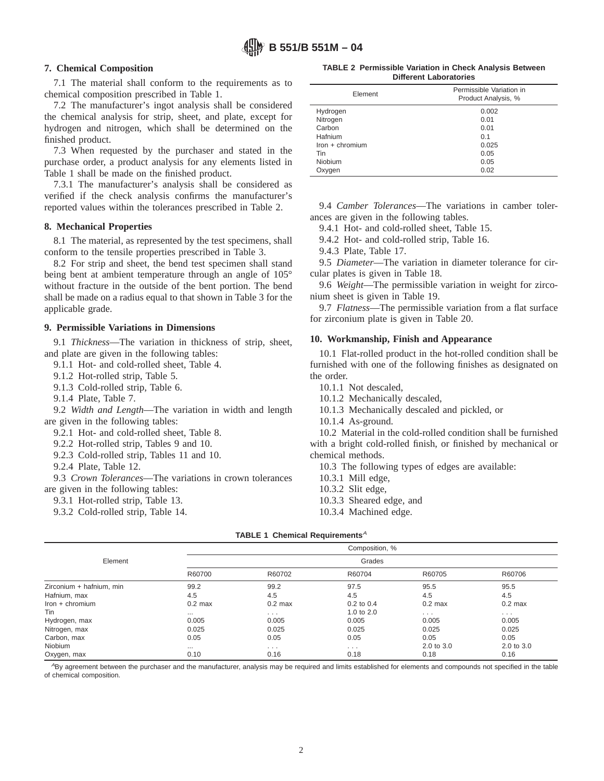# **7. Chemical Composition**

7.1 The material shall conform to the requirements as to chemical composition prescribed in Table 1.

7.2 The manufacturer's ingot analysis shall be considered the chemical analysis for strip, sheet, and plate, except for hydrogen and nitrogen, which shall be determined on the finished product.

7.3 When requested by the purchaser and stated in the purchase order, a product analysis for any elements listed in Table 1 shall be made on the finished product.

7.3.1 The manufacturer's analysis shall be considered as verified if the check analysis confirms the manufacturer's reported values within the tolerances prescribed in Table 2.

#### **8. Mechanical Properties**

8.1 The material, as represented by the test specimens, shall conform to the tensile properties prescribed in Table 3.

8.2 For strip and sheet, the bend test specimen shall stand being bent at ambient temperature through an angle of 105° without fracture in the outside of the bent portion. The bend shall be made on a radius equal to that shown in Table 3 for the applicable grade.

### **9. Permissible Variations in Dimensions**

9.1 *Thickness*—The variation in thickness of strip, sheet, and plate are given in the following tables:

9.1.1 Hot- and cold-rolled sheet, Table 4.

9.1.2 Hot-rolled strip, Table 5.

9.1.3 Cold-rolled strip, Table 6.

9.1.4 Plate, Table 7.

9.2 *Width and Length*—The variation in width and length are given in the following tables:

9.2.1 Hot- and cold-rolled sheet, Table 8.

9.2.2 Hot-rolled strip, Tables 9 and 10.

9.2.3 Cold-rolled strip, Tables 11 and 10.

9.2.4 Plate, Table 12.

9.3 *Crown Tolerances*—The variations in crown tolerances are given in the following tables:

9.3.1 Hot-rolled strip, Table 13.

9.3.2 Cold-rolled strip, Table 14.

**TABLE 2 Permissible Variation in Check Analysis Between Different Laboratories**

| Element           | Permissible Variation in<br>Product Analysis, % |
|-------------------|-------------------------------------------------|
| Hydrogen          | 0.002                                           |
| Nitrogen          | 0.01                                            |
| Carbon            | 0.01                                            |
| Hafnium           | 0.1                                             |
| $lron + chromium$ | 0.025                                           |
| Tin               | 0.05                                            |
| <b>Niobium</b>    | 0.05                                            |
| Oxygen            | 0.02                                            |

9.4 *Camber Tolerances*—The variations in camber tolerances are given in the following tables.

9.4.1 Hot- and cold-rolled sheet, Table 15.

9.4.2 Hot- and cold-rolled strip, Table 16.

9.4.3 Plate, Table 17.

9.5 *Diameter*—The variation in diameter tolerance for circular plates is given in Table 18.

9.6 *Weight*—The permissible variation in weight for zirconium sheet is given in Table 19.

9.7 *Flatness*—The permissible variation from a flat surface for zirconium plate is given in Table 20.

#### **10. Workmanship, Finish and Appearance**

10.1 Flat-rolled product in the hot-rolled condition shall be furnished with one of the following finishes as designated on the order.

10.1.1 Not descaled,

10.1.2 Mechanically descaled,

10.1.3 Mechanically descaled and pickled, or

10.1.4 As-ground.

10.2 Material in the cold-rolled condition shall be furnished with a bright cold-rolled finish, or finished by mechanical or chemical methods.

10.3 The following types of edges are available:

10.3.1 Mill edge,

10.3.2 Slit edge,

10.3.3 Sheared edge, and

10.3.4 Machined edge.

|                          |           |                      | Composition, % |                      |            |
|--------------------------|-----------|----------------------|----------------|----------------------|------------|
| Element                  |           |                      | Grades         |                      |            |
|                          | R60700    | R60702               | R60704         | R60705               | R60706     |
| Zirconium + hafnium, min | 99.2      | 99.2                 | 97.5           | 95.5                 | 95.5       |
| Hafnium, max             | 4.5       | 4.5                  | 4.5            | 4.5                  | 4.5        |
| Iron + chromium          | $0.2$ max | $0.2$ max            | $0.2$ to $0.4$ | $0.2$ max            | $0.2$ max  |
| Tin                      | $\cdots$  | $\cdots$             | 1.0 to 2.0     | $\sim$ $\sim$ $\sim$ | $\cdots$   |
| Hydrogen, max            | 0.005     | 0.005                | 0.005          | 0.005                | 0.005      |
| Nitrogen, max            | 0.025     | 0.025                | 0.025          | 0.025                | 0.025      |
| Carbon, max              | 0.05      | 0.05                 | 0.05           | 0.05                 | 0.05       |
| Niobium                  | $\cdots$  | $\sim$ $\sim$ $\sim$ | $\cdots$       | 2.0 to 3.0           | 2.0 to 3.0 |
| Oxygen, max              | 0.10      | 0.16                 | 0.18           | 0.18                 | 0.16       |

ABy agreement between the purchaser and the manufacturer, analysis may be required and limits established for elements and compounds not specified in the table of chemical composition.

### **TABLE 1 Chemical Requirements<sup>A</sup>**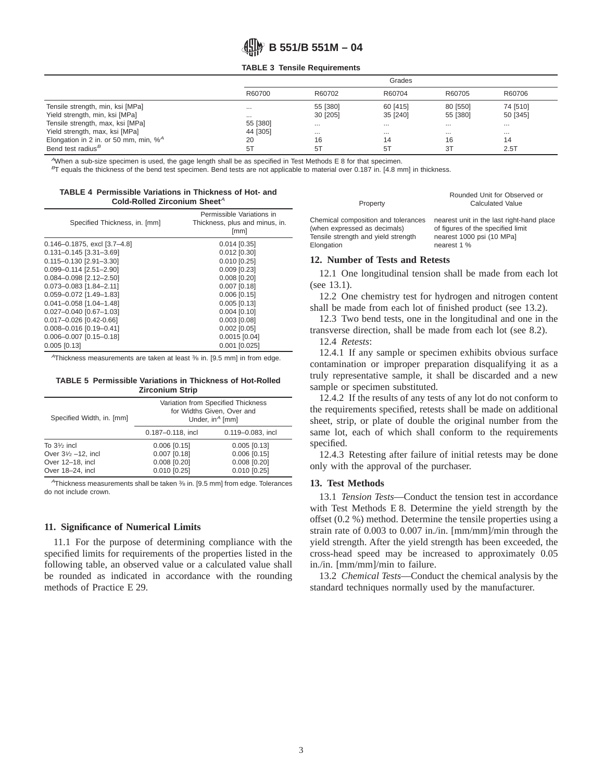#### **TABLE 3 Tensile Requirements**

|                                          | Grades   |          |          |                |          |
|------------------------------------------|----------|----------|----------|----------------|----------|
|                                          | R60700   | R60702   | R60704   | R60705         | R60706   |
| Tensile strength, min, ksi [MPa]         | $\cdots$ | 55 [380] | 60 [415] | 80 [550]       | 74 [510] |
| Yield strength, min, ksi [MPa]           | $\cdots$ | 30 [205] | 35 [240] | 55 [380]       | 50 [345] |
| Tensile strength, max, ksi [MPa]         | 55 [380] | $\cdots$ |          | $\cdots$       | $\cdots$ |
| Yield strength, max, ksi [MPa]           | 44 [305] | $\cdots$ | $\cdots$ | $\cdots$       | $\cdots$ |
| Elongation in 2 in. or 50 mm, min, $%^A$ | 20       | 16       | 14       | 16             | 14       |
| Bend test radius <sup>B</sup>            | 5T       | 5T       | 5T       | 3 <sub>T</sub> | 2.5T     |

 $A$ When a sub-size specimen is used, the gage length shall be as specified in Test Methods E 8 for that specimen.

 $^{B}$ T equals the thickness of the bend test specimen. Bend tests are not applicable to material over 0.187 in. [4.8 mm] in thickness.

| TABLE 4 Permissible Variations in Thickness of Hot- and |  |
|---------------------------------------------------------|--|
| Cold-Rolled Zirconium Sheet <sup>A</sup>                |  |

| Specified Thickness, in. [mm]         | Permissible Variations in<br>Thickness, plus and minus, in.<br>[mm] |
|---------------------------------------|---------------------------------------------------------------------|
| $0.146 - 0.1875$ , excl $[3.7 - 4.8]$ | $0.014$ [0.35]                                                      |
| $0.131 - 0.145$ [3.31-3.69]           | $0.012$ [0.30]                                                      |
| $0.115 - 0.130$ [2.91-3.30]           | $0.010$ $[0.25]$                                                    |
| $0.099 - 0.114$ [2.51-2.90]           | $0.009$ $[0.23]$                                                    |
| $0.084 - 0.098$ [2.12-2.50]           | $0.008$ [0.20]                                                      |
| $0.073 - 0.083$ [1.84-2.11]           | $0.007$ $[0.18]$                                                    |
| 0.059-0.072 [1.49-1.83]               | $0.006$ $[0.15]$                                                    |
| $0.041 - 0.058$ [1.04-1.48]           | 0.005 [0.13]                                                        |
| 0.027-0.040 [0.67-1.03]               | $0.004$ [0.10]                                                      |
| 0.017-0.026 [0.42-0.66]               | $0.003$ $[0.08]$                                                    |
| $0.008 - 0.016$ [0.19-0.41]           | $0.002$ $[0.05]$                                                    |
| $0.006 - 0.007$ [0.15-0.18]           | $0.0015$ [0.04]                                                     |
| $0.005$ $[0.13]$                      | $0.001$ $[0.025]$                                                   |

 $A$ Thickness measurements are taken at least  $\frac{3}{6}$  in. [9.5 mm] in from edge.

#### **TABLE 5 Permissible Variations in Thickness of Hot-Rolled Zirconium Strip**

|                               | _                                                                                      |                   |  |  |  |
|-------------------------------|----------------------------------------------------------------------------------------|-------------------|--|--|--|
| Specified Width, in. [mm]     | Variation from Specified Thickness<br>for Widths Given, Over and<br>Under, $in^A$ [mm] |                   |  |  |  |
|                               | 0.187-0.118, incl                                                                      | 0.119-0.083, incl |  |  |  |
| To $3\frac{1}{2}$ incl        | $0.006$ $[0.15]$                                                                       | $0.005$ $[0.13]$  |  |  |  |
| Over $3\frac{1}{2}$ -12, incl | $0.007$ $[0.18]$                                                                       | $0.006$ $[0.15]$  |  |  |  |
| Over 12-18, incl              | $0.008$ [0.20]                                                                         | $0.008$ [0.20]    |  |  |  |
| Over 18-24, incl              | $0.010$ $[0.25]$                                                                       | $0.010$ $[0.25]$  |  |  |  |
|                               |                                                                                        |                   |  |  |  |

 $A$ Thickness measurements shall be taken  $%$  in. [9.5 mm] from edge. Tolerances do not include crown.

#### **11. Significance of Numerical Limits**

11.1 For the purpose of determining compliance with the specified limits for requirements of the properties listed in the following table, an observed value or a calculated value shall be rounded as indicated in accordance with the rounding methods of Practice E 29.

| Property                            | <b>Calculated Value</b>                   |
|-------------------------------------|-------------------------------------------|
| Chemical composition and tolerances | nearest unit in the last right-hand place |
| (when expressed as decimals)        | of figures of the specified limit         |
| Tensile strength and yield strength | nearest 1000 psi (10 MPa]                 |
| Elongation                          | nearest 1 %                               |

Rounded Unit for Observed or

### **12. Number of Tests and Retests**

12.1 One longitudinal tension shall be made from each lot (see 13.1).

12.2 One chemistry test for hydrogen and nitrogen content shall be made from each lot of finished product (see 13.2).

12.3 Two bend tests, one in the longitudinal and one in the transverse direction, shall be made from each lot (see 8.2).

12.4 *Retests*:

12.4.1 If any sample or specimen exhibits obvious surface contamination or improper preparation disqualifying it as a truly representative sample, it shall be discarded and a new sample or specimen substituted.

12.4.2 If the results of any tests of any lot do not conform to the requirements specified, retests shall be made on additional sheet, strip, or plate of double the original number from the same lot, each of which shall conform to the requirements specified.

12.4.3 Retesting after failure of initial retests may be done only with the approval of the purchaser.

#### **13. Test Methods**

13.1 *Tension Tests*—Conduct the tension test in accordance with Test Methods E 8. Determine the yield strength by the offset (0.2 %) method. Determine the tensile properties using a strain rate of 0.003 to 0.007 in./in. [mm/mm]/min through the yield strength. After the yield strength has been exceeded, the cross-head speed may be increased to approximately 0.05 in./in. [mm/mm]/min to failure.

13.2 *Chemical Tests*—Conduct the chemical analysis by the standard techniques normally used by the manufacturer.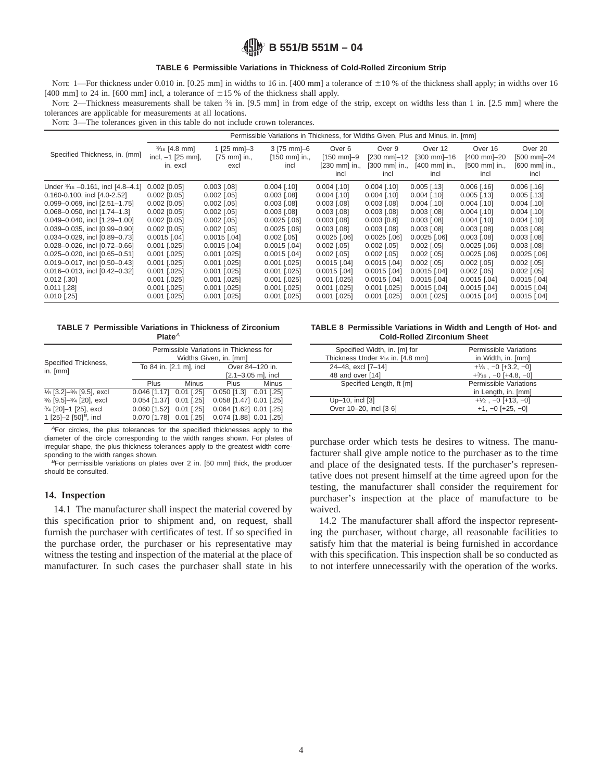#### **TABLE 6 Permissible Variations in Thickness of Cold-Rolled Zirconium Strip**

NOTE 1—For thickness under 0.010 in. [0.25 mm] in widths to 16 in. [400 mm] a tolerance of  $\pm 10\%$  of the thickness shall apply; in widths over 16 [400 mm] to 24 in. [600 mm] incl, a tolerance of  $\pm 15$  % of the thickness shall apply.

Note 2—Thickness measurements shall be taken 3/8 in. [9.5 mm] in from edge of the strip, except on widths less than 1 in. [2.5 mm] where the tolerances are applicable for measurements at all locations.

NOTE 3—The tolerances given in this table do not include crown tolerances.

|                                        | Permissible Variations in Thickness, for Widths Given, Plus and Minus, in. [mm] |                                                    |                                                |                                                           |                                                         |                                                 |                                                      |                                                                |
|----------------------------------------|---------------------------------------------------------------------------------|----------------------------------------------------|------------------------------------------------|-----------------------------------------------------------|---------------------------------------------------------|-------------------------------------------------|------------------------------------------------------|----------------------------------------------------------------|
| Specified Thickness, in. (mm)          | $\frac{3}{16}$ [4.8 mm]<br>incl, $-1$ [25 mm],<br>in. excl                      | 1 $[25$ mm $]-3$<br>$[75 \text{ mm}]$ in.,<br>excl | 3 [75 mm]-6<br>$[150 \text{ mm}]$ in.,<br>incl | Over 6<br>$[150 \text{ mm}] - 9$<br>[230 mm] in.,<br>incl | Over 9<br>$[230$ mm $]-12$<br>$[300$ mm $]$ in.<br>incl | Over 12<br>[300 mm]-16<br>[400 mm] in.,<br>incl | Over 16<br>$[400$ mm $]-20$<br>[500 mm] in.,<br>incl | Over 20<br>$[500$ mm $]-24$<br>$[600 \text{ mm}]$ in.,<br>incl |
| Under 3/16 - 0.161, incl [4.8-4.1]     | $0.002$ $[0.05]$                                                                | $0.003$ [.08]                                      | $0.004$ [.10]                                  | $0.004$ [.10]                                             | $0.004$ [.10]                                           | $0.005$ [.13]                                   | $0.006$ [.16]                                        | $0.006$ [.16]                                                  |
| 0.160-0.100, incl [4.0-2.52]           | $0.002$ [0.05]                                                                  | $0.002$ [.05]                                      | $0.003$ [.08]                                  | $0.004$ [.10]                                             | $0.004$ [.10]                                           | $0.004$ [.10]                                   | $0.005$ [.13]                                        | $0.005$ [.13]                                                  |
| $0.099 - 0.069$ , incl $[2.51 - 1.75]$ | $0.002$ [0.05]                                                                  | $0.002$ [.05]                                      | $0.003$ $[.08]$                                | $0.003$ [.08]                                             | $0.003$ [.08]                                           | $0.004$ [.10]                                   | $0.004$ [.10]                                        | $0.004$ [.10]                                                  |
| $0.068 - 0.050$ , incl $[1.74 - 1.3]$  | $0.002$ $[0.05]$                                                                | $0.002$ [.05]                                      | $0.003$ $[.08]$                                | $0.003$ $[.08]$                                           | $0.003$ [.08]                                           | $0.003$ [.08]                                   | $0.004$ [.10]                                        | $0.004$ [.10]                                                  |
| 0.049-0.040, incl [1.29-1.00]          | $0.002$ $[0.05]$                                                                | $0.002$ [.05]                                      | $0.0025$ [.06]                                 | $0.003$ [.08]                                             | $0.003$ $[0.8]$                                         | $0.003$ [.08]                                   | $0.004$ [.10]                                        | $0.004$ [.10]                                                  |
| 0.039-0.035, incl [0.99-0.90]          | $0.002$ [0.05]                                                                  | $0.002$ [.05]                                      | $0.0025$ [.06]                                 | $0.003$ [.08]                                             | $0.003$ [.08]                                           | $0.003$ [.08]                                   | $0.003$ [.08]                                        | $0.003$ [.08]                                                  |
| 0.034-0.029, incl [0.89-0.73]          | $0.0015$ [.04]                                                                  | $0.0015$ [.04]                                     | $0.002$ [.05]                                  | $0.0025$ [.06]                                            | $0.0025$ [.06]                                          | $0.0025$ [.06]                                  | $0.003$ [.08]                                        | $0.003$ [.08]                                                  |
| 0.028-0.026, incl [0.72-0.66]          | $0.001$ $[.025]$                                                                | $0.0015$ [.04]                                     | $0.0015$ [.04]                                 | $0.002$ [.05]                                             | $0.002$ [.05]                                           | $0.002$ [.05]                                   | $0.0025$ [.06]                                       | $0.003$ [.08]                                                  |
| 0.025-0.020, incl [0.65-0.51]          | $0.001$ [.025]                                                                  | $0.001$ [.025]                                     | $0.0015$ [.04]                                 | $0.002$ [.05]                                             | $0.002$ [.05]                                           | $0.002$ [.05]                                   | $0.0025$ [.06]                                       | $0.0025$ [.06]                                                 |
| 0.019-0.017, incl [0.50-0.43]          | $0.001$ [.025]                                                                  | $0.001$ $[.025]$                                   | $0.001$ $[.025]$                               | $0.0015$ [.04]                                            | $0.0015$ [.04]                                          | $0.002$ [.05]                                   | $0.002$ [.05]                                        | $0.002$ [.05]                                                  |
| 0.016-0.013, incl [0.42-0.32]          | $0.001$ $[.025]$                                                                | $0.001$ [.025]                                     | $0.001$ $[.025]$                               | $0.0015$ [.04]                                            | $0.0015$ [.04]                                          | $0.0015$ [.04]                                  | $0.002$ [.05]                                        | $0.002$ [.05]                                                  |
| $0.012$ [.30]                          | $0.001$ [.025]                                                                  | $0.001$ [.025]                                     | $0.001$ $[.025]$                               | $0.001$ $[.025]$                                          | $0.0015$ [.04]                                          | $0.0015$ [.04]                                  | $0.0015$ [.04]                                       | $0.0015$ [.04]                                                 |
| $0.011$ [.28]                          | $0.001$ [.025]                                                                  | $0.001$ $[.025]$                                   | $0.001$ [.025]                                 | $0.001$ [.025]                                            | $0.001$ $[.025]$                                        | $0.0015$ [.04]                                  | $0.0015$ [.04]                                       | $0.0015$ [.04]                                                 |
| $0.010$ [.25]                          | $0.001$ [.025]                                                                  | $0.001$ $[.025]$                                   | $0.001$ $[.025]$                               | $0.001$ [.025]                                            | $0.001$ $[.025]$                                        | $0.001$ [.025]                                  | $0.0015$ [.04]                                       | $0.0015$ [.04]                                                 |

#### **TABLE 7 Permissible Variations in Thickness of Zirconium** Plate<sup>A</sup>

| Specified Thickness,                                           |                                            | Permissible Variations in Thickness for<br>Widths Given, in. [mm] |                            |       |  |  |
|----------------------------------------------------------------|--------------------------------------------|-------------------------------------------------------------------|----------------------------|-------|--|--|
| in. [mm]                                                       | To 84 in. [2.1 m], incl<br>Over 84-120 in. |                                                                   |                            |       |  |  |
|                                                                | $[2.1 - 3.05$ m], incl                     |                                                                   |                            |       |  |  |
|                                                                | <b>Plus</b>                                | Minus                                                             | Plus                       | Minus |  |  |
| 1/ <sub>8</sub> [3.2]- <sup>3</sup> / <sub>8</sub> [9.5], excl | $0.046$ [1.17] $0.01$ [.25]                |                                                                   | $0.050$ [1.3] $0.01$ [.25] |       |  |  |
| 3/8 [9.5]-3/4 [20], excl                                       | 0.054 [1.37] 0.01 [.25]                    |                                                                   | 0.058 [1.47] 0.01 [.25]    |       |  |  |
| 3/ <sub>4</sub> [20]-1 [25], excl                              | 0.060 [1.52] 0.01 [.25]                    |                                                                   | 0.064 [1.62] 0.01 [.25]    |       |  |  |
| 1 [25]-2 $[50]$ <sup>B</sup> , incl                            | 0.070 [1.78] 0.01 [.25]                    |                                                                   | 0.074 [1.88] 0.01 [.25]    |       |  |  |

<sup>A</sup>For circles, the plus tolerances for the specified thicknesses apply to the diameter of the circle corresponding to the width ranges shown. For plates of irregular shape, the plus thickness tolerances apply to the greatest width corresponding to the width ranges shown.

 $B$ For permissible variations on plates over 2 in. [50 mm] thick, the producer should be consulted.

#### **14. Inspection**

14.1 The manufacturer shall inspect the material covered by this specification prior to shipment and, on request, shall furnish the purchaser with certificates of test. If so specified in the purchase order, the purchaser or his representative may witness the testing and inspection of the material at the place of manufacturer. In such cases the purchaser shall state in his

**TABLE 8 Permissible Variations in Width and Length of Hot- and Cold-Rolled Zirconium Sheet**

| Specified Width, in. [m] for      | Permissible Variations                          |
|-----------------------------------|-------------------------------------------------|
| Thickness Under 3/16 in. [4.8 mm] | in Width, in. [mm]                              |
| 24-48, excl [7-14]                | $+$ <sup>1</sup> / <sub>8</sub> , -0 [+3.2, -0] |
| 48 and over [14]                  | $+3/16$ , $-0$ [ $+4.8$ , $-0$ ]                |
| Specified Length, ft [m]          | Permissible Variations                          |
|                                   | in Length, in. [mm]                             |
| Up-10, incl [3]                   | $+1/2$ , $-0$ [+13, $-0$ ]                      |
| Over 10-20, incl [3-6]            | $+1, -0$ [ $+25, -0$ ]                          |

purchase order which tests he desires to witness. The manufacturer shall give ample notice to the purchaser as to the time and place of the designated tests. If the purchaser's representative does not present himself at the time agreed upon for the testing, the manufacturer shall consider the requirement for purchaser's inspection at the place of manufacture to be waived.

14.2 The manufacturer shall afford the inspector representing the purchaser, without charge, all reasonable facilities to satisfy him that the material is being furnished in accordance with this specification. This inspection shall be so conducted as to not interfere unnecessarily with the operation of the works.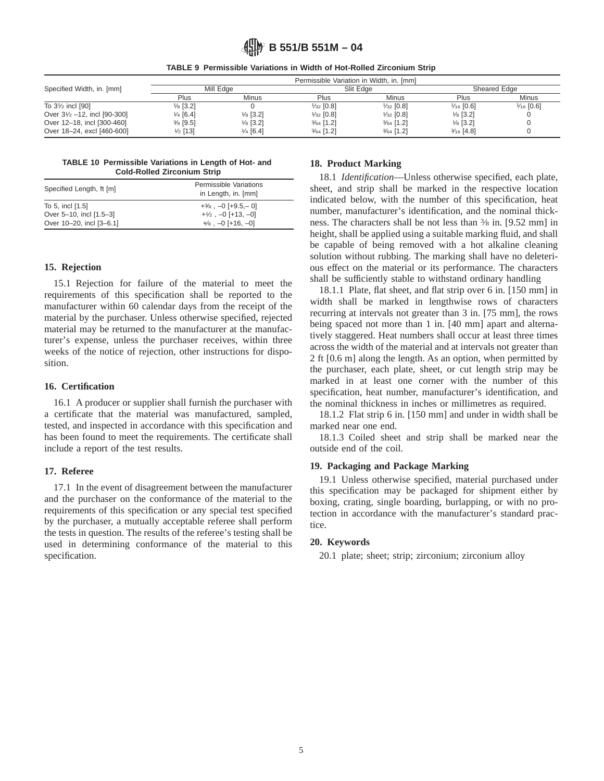|                                        |                     |                     | Permissible Variation in Width, in. [mm] |                      |                      |                      |
|----------------------------------------|---------------------|---------------------|------------------------------------------|----------------------|----------------------|----------------------|
| Specified Width, in. [mm]              | Mill Edge           |                     | Slit Edge                                |                      | Sheared Edge         |                      |
|                                        | Plus                | Minus               | Plus                                     | Minus                | Plus                 | Minus                |
| To 31/2 incl [90]                      | $\frac{1}{8}$ [3.2] |                     | $\frac{1}{32}$ [0.8]                     | $\frac{1}{32}$ [0.8] | $\frac{1}{16}$ [0.6] | $\frac{1}{16}$ [0.6] |
| Over $3\frac{1}{2}$ -12, incl [90-300] | $\frac{1}{4}$ [6.4] | $\frac{1}{8}$ [3.2] | $\frac{1}{32}$ [0.8]                     | $\frac{1}{32}$ [0.8] | $\frac{1}{8}$ [3.2]  |                      |
| Over 12-18, incl [300-460]             | $\frac{3}{8}$ [9.5] | $\frac{1}{8}$ [3.2] | $\frac{3}{64}$ [1.2]                     | $\frac{3}{64}$ [1.2] | $\frac{1}{8}$ [3.2]  |                      |
| Over 18-24, excl [460-600]             | $\frac{1}{2}$ [13]  | $\frac{1}{4}$ [6.4] | $\frac{3}{64}$ [1.2]                     | $\frac{3}{64}$ [1.2] | $\frac{3}{16}$ [4.8] |                      |

# **TABLE 9 Permissible Variations in Width of Hot-Rolled Zirconium Strip**

**TABLE 10 Permissible Variations in Length of Hot- and Cold-Rolled Zirconium Strip**

| Specified Length, ft [m] | Permissible Variations<br>in Length, in. [mm] |
|--------------------------|-----------------------------------------------|
| To 5, incl [1.5]         | $+3/8$ , $-0$ [ $+9.5-0$ ]                    |
| Over 5-10, incl [1.5-3]  | $+1/2$ , $-0$ [+13, $-0$ ]                    |
| Over 10-20, incl [3-6.1] | $+$ / $\frac{1}{8}$ , $-0$ [+16, $-0$ ]       |

# **15. Rejection**

15.1 Rejection for failure of the material to meet the requirements of this specification shall be reported to the manufacturer within 60 calendar days from the receipt of the material by the purchaser. Unless otherwise specified, rejected material may be returned to the manufacturer at the manufacturer's expense, unless the purchaser receives, within three weeks of the notice of rejection, other instructions for disposition.

# **16. Certification**

16.1 A producer or supplier shall furnish the purchaser with a certificate that the material was manufactured, sampled, tested, and inspected in accordance with this specification and has been found to meet the requirements. The certificate shall include a report of the test results.

#### **17. Referee**

17.1 In the event of disagreement between the manufacturer and the purchaser on the conformance of the material to the requirements of this specification or any special test specified by the purchaser, a mutually acceptable referee shall perform the tests in question. The results of the referee's testing shall be used in determining conformance of the material to this specification.

#### **18. Product Marking**

18.1 *Identification*—Unless otherwise specified, each plate, sheet, and strip shall be marked in the respective location indicated below, with the number of this specification, heat number, manufacturer's identification, and the nominal thickness. The characters shall be not less than 3⁄8 in. [9.52 mm] in height, shall be applied using a suitable marking fluid, and shall be capable of being removed with a hot alkaline cleaning solution without rubbing. The marking shall have no deleterious effect on the material or its performance. The characters shall be sufficiently stable to withstand ordinary handling

18.1.1 Plate, flat sheet, and flat strip over 6 in. [150 mm] in width shall be marked in lengthwise rows of characters recurring at intervals not greater than 3 in. [75 mm], the rows being spaced not more than 1 in. [40 mm] apart and alternatively staggered. Heat numbers shall occur at least three times across the width of the material and at intervals not greater than 2 ft [0.6 m] along the length. As an option, when permitted by the purchaser, each plate, sheet, or cut length strip may be marked in at least one corner with the number of this specification, heat number, manufacturer's identification, and the nominal thickness in inches or millimetres as required.

18.1.2 Flat strip 6 in. [150 mm] and under in width shall be marked near one end.

18.1.3 Coiled sheet and strip shall be marked near the outside end of the coil.

#### **19. Packaging and Package Marking**

19.1 Unless otherwise specified, material purchased under this specification may be packaged for shipment either by boxing, crating, single boarding, burlapping, or with no protection in accordance with the manufacturer's standard practice.

#### **20. Keywords**

20.1 plate; sheet; strip; zirconium; zirconium alloy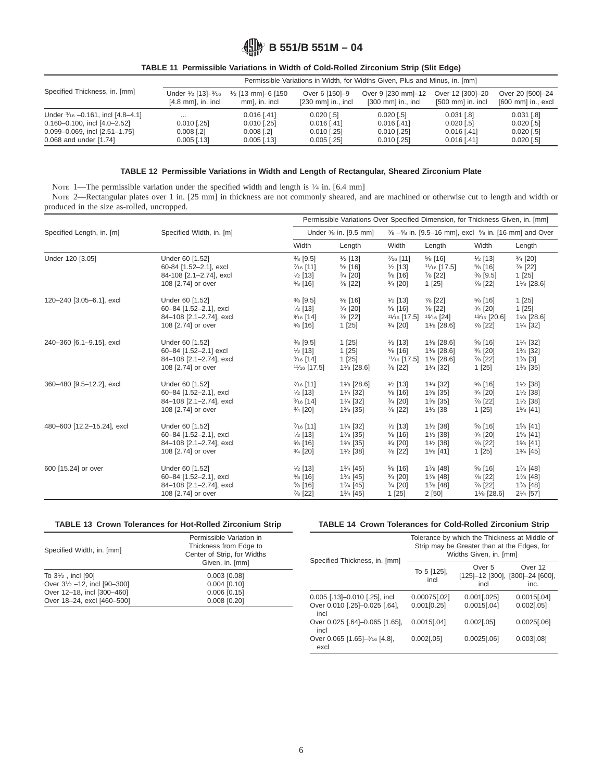|                                       |                                            |                                     |                                                | Permissible Variations in Width, for Widths Given, Plus and Minus, in. [mm] |                                                 |                                             |
|---------------------------------------|--------------------------------------------|-------------------------------------|------------------------------------------------|-----------------------------------------------------------------------------|-------------------------------------------------|---------------------------------------------|
| Specified Thickness, in. [mm]         | Under 1/2 [13]-3/16<br>$[4.8$ mm, in. incl | 1/2 [13 mm]-6 [150<br>mm], in. incl | Over 6 [150]-9<br>$[230 \text{ mm}]$ in., incl | Over 9 [230 mm]-12<br>$[300 \text{ mm}]$ in., incl                          | Over 12 [300]-20<br>$[500 \text{ mm}]$ in. incl | Over 20 [500]-24<br>$[600$ mm $]$ in., excl |
| Under 3/16 - 0.161, incl [4.8-4.1]    | $\cdots$                                   | $0.016$ [.41]                       | $0.020$ $1.51$                                 | $0.020$ [.5]                                                                | $0.031$ [.8]                                    | $0.031$ [.8]                                |
| $0.160 - 0.100$ , incl $[4.0 - 2.52]$ | $0.010$ [.25]                              | $0.010$ [.25]                       | $0.016$ [.41]                                  | $0.016$ [.41]                                                               | $0.020$ [.5]                                    | $0.020$ [.5]                                |
| 0.099-0.069, incl [2.51-1.75]         | $0.008$ [.2]                               | $0.008$ [.2]                        | $0.010$ [.25]                                  | $0.010$ [.25]                                                               | $0.016$ [.41]                                   | $0.020$ [.5]                                |
| 0.068 and under [1.74]                | $0.005$ [.13]                              | $0.005$ [.13]                       | $0.005$ [.25]                                  | $0.010$ [.25]                                                               | $0.016$ [.41]                                   | $0.020$ [.5]                                |

# **TABLE 11 Permissible Variations in Width of Cold-Rolled Zirconium Strip (Slit Edge)**

#### **TABLE 12 Permissible Variations in Width and Length of Rectangular, Sheared Zirconium Plate**

NOTE 1—The permissible variation under the specified width and length is  $\frac{1}{4}$  in. [6.4 mm]

NOTE 2—Rectangular plates over 1 in. [25 mm] in thickness are not commonly sheared, and are machined or otherwise cut to length and width or produced in the size as-rolled, uncropped.

|                            |                          |                        | Permissible Variations Over Specified Dimension, for Thickness Given, in. [mm] |                       |                                                         |                     |                       |
|----------------------------|--------------------------|------------------------|--------------------------------------------------------------------------------|-----------------------|---------------------------------------------------------|---------------------|-----------------------|
| Specified Length, in. [m]  | Specified Width, in. [m] |                        | Under <sup>3</sup> / <sub>8</sub> in. [9.5 mm]                                 |                       | 3/8 -5/8 in. [9.5-16 mm], excl 5/8 in. [16 mm] and Over |                     |                       |
|                            |                          | Width                  | Length                                                                         | Width                 | Length                                                  | Width               | Length                |
| Under 120 [3.05]           | Under 60 [1.52]          | $\frac{3}{8}$ [9.5]    | $\frac{1}{2}$ [13]                                                             | $\frac{7}{16}$ [11]   | $5/8$ [16]                                              | $\frac{1}{2}$ [13]  | $\frac{3}{4}$ [20]    |
|                            | 60-84 [1.52-2.1], excl   | $\frac{7}{16}$ [11]    | $\frac{5}{8}$ [16]                                                             | $\frac{1}{2}$ [13]    | $1\frac{1}{16}$ [17.5]                                  | $\frac{5}{8}$ [16]  | $\frac{7}{8}$ [22]    |
|                            | 84-108 [2.1-2.74], excl  | $\frac{1}{2}$ [13]     | 3/4 [20]                                                                       | $\frac{5}{8}$ [16]    | $\frac{7}{8}$ [22]                                      | $\frac{3}{8}$ [9.5] | 1 [25]                |
|                            | 108 [2.74] or over       | $\frac{5}{6}$ [16]     | $\frac{7}{8}$ [22]                                                             | $\frac{3}{4}$ [20]    | 1[25]                                                   | $\frac{7}{8}$ [22]  | 11/8 [28.6]           |
| 120-240 [3.05-6.1], excl   | Under 60 [1.52]          | $\frac{3}{8}$ [9.5]    | $\frac{3}{8}$ [16]                                                             | $\frac{1}{2}$ [13]    | $\frac{7}{8}$ [22]                                      | $\frac{5}{8}$ [16]  | 1 [25]                |
|                            | 60-84 [1.52-2.1], excl   | $\frac{1}{2}$ [13]     | $\frac{3}{4}$ [20]                                                             | $\frac{5}{8}$ [16]    | $\frac{7}{8}$ [22]                                      | $\frac{3}{4}$ [20]  | 1 [25]                |
|                            | 84-108 [2.1-2.74], excl  | $\frac{9}{16}$ [14]    | $\frac{7}{8}$ [22]                                                             | $1\frac{1}{6}$ [17.5] | $15/16$ [24]                                            | $13/16$ [20.6]      | 11/8 [28.6]           |
|                            | 108 [2.74] or over       | $\frac{5}{8}$ [16]     | 1 [25]                                                                         | $\frac{3}{4}$ [20]    | 11/8 [28.6]                                             | $\frac{7}{8}$ [22]  | 11/ <sub>4</sub> [32] |
| 240-360 [6.1-9.15], excl   | Under 60 [1.52]          | $\frac{3}{8}$ [9.5]    | 1 [25]                                                                         | $\frac{1}{2}$ [13]    | 11/8 [28.6]                                             | $\frac{5}{8}$ [16]  | 11/ <sub>4</sub> [32] |
|                            | 60-84 [1.52-2.1] excl    | $\frac{1}{2}$ [13]     | 1 [25]                                                                         | $\frac{5}{8}$ [16]    | 11/8 [28.6]                                             | $\frac{3}{4}$ [20]  | 13/4 [32]             |
|                            | 84-108 [2.1-2.74], excl  | $%16$ [14]             | 1 [25]                                                                         | $11/16$ [17.5]        | 11/8 [28.6]                                             | $\frac{7}{8}$ [22]  | $1\%$ [3]             |
|                            | 108 [2.74] or over       | $1\frac{1}{16}$ [17.5] | 11/8 [28.6]                                                                    | $\frac{7}{8}$ [22]    | 11/ <sub>4</sub> [32]                                   | 1 [25]              | 1% [35]               |
| 360-480 [9.5-12.2], excl   | Under 60 [1.52]          | $\frac{7}{16}$ [11]    | $1\frac{1}{8}$ [28.6]                                                          | $\frac{1}{2}$ [13]    | 11/4 [32]                                               | $\frac{5}{8}$ [16]  | $1\frac{1}{2}$ [38]   |
|                            | 60-84 [1.52-2.1], excl   | $\frac{1}{2}$ [13]     | 11/ <sub>4</sub> [32]                                                          | $\frac{5}{8}$ [16]    | 1% [35]                                                 | $\frac{3}{4}$ [20]  | $1\frac{1}{2}$ [38]   |
|                            | 84-108 [2.1-2.74], excl  | $%16$ [14]             | 11/ <sub>4</sub> [32]                                                          | $\frac{3}{4}$ [20]    | 1% [35]                                                 | $\frac{7}{8}$ [22]  | $1\frac{1}{2}$ [38]   |
|                            | 108 [2.74] or over       | $\frac{3}{4}$ [20]     | 1% [35]                                                                        | $\frac{7}{8}$ [22]    | $1\frac{1}{2}$ [38                                      | 1 [25]              | 1% [41]               |
| 480-600 [12.2-15.24], excl | Under 60 [1.52]          | $\frac{7}{16}$ [11]    | 11/ <sub>4</sub> [32]                                                          | $\frac{1}{2}$ [13]    | $1\frac{1}{2}$ [38]                                     | $\frac{5}{8}$ [16]  | 1% [41]               |
|                            | 60-84 [1.52-2.1], excl   | $\frac{1}{2}$ [13]     | 1% [35]                                                                        | $\frac{5}{8}$ [16]    | $1\frac{1}{2}$ [38]                                     | $\frac{3}{4}$ [20]  | 1% [41]               |
|                            | 84-108 [2.1-2.74], excl  | $\frac{5}{8}$ [16]     | 1% [35]                                                                        | $\frac{3}{4}$ [20]    | 11/2 [38]                                               | $\frac{7}{8}$ [22]  | 1% [41]               |
|                            | 108 [2.74] or over       | 3/4 [20]               | $1\frac{1}{2}$ [38]                                                            | $\frac{7}{8}$ [22]    | 1% [41]                                                 | 1 [25]              | 13/4 [45]             |
| 600 [15.24] or over        | Under 60 [1.52]          | $\frac{1}{2}$ [13]     | 13/4 [45]                                                                      | $\frac{5}{8}$ [16]    | 1% [48]                                                 | $\frac{5}{8}$ [16]  | 1% [48]               |
|                            | 60-84 [1.52-2.1], excl   | $\frac{5}{8}$ [16]     | 13/4 [45]                                                                      | $\frac{3}{4}$ [20]    | 1% [48]                                                 | $\frac{7}{8}$ [22]  | 1% [48]               |
|                            | 84-108 [2.1-2.74], excl  | $\frac{5}{8}$ [16]     | 13/4 [45]                                                                      | $\frac{3}{4}$ [20]    | 1% [48]                                                 | $\frac{7}{8}$ [22]  | 1% [48]               |
|                            | 108 [2.74] or over       | $\frac{7}{8}$ [22]     | 13/4 [45]                                                                      | 1 [25]                | 2[50]                                                   | 11/8 [28.6]         | 21/ <sub>4</sub> [57] |

# **TABLE 13 Crown Tolerances for Hot-Rolled Zirconium Strip**

| Specified Width, in. [mm]              | Permissible Variation in<br>Thickness from Edge to<br>Center of Strip, for Widths<br>Given, in. [mm] |
|----------------------------------------|------------------------------------------------------------------------------------------------------|
| To $3\frac{1}{2}$ , incl [90]          | $0.003$ $[0.08]$                                                                                     |
| Over $3\frac{1}{2}$ -12, incl [90-300] | $0.004$ [0.10]                                                                                       |
| Over 12-18, incl [300-460]             | $0.006$ [0.15]                                                                                       |
| Over 18-24, excl [460-500]             | $0.008$ $[0.20]$                                                                                     |

# **TABLE 14 Crown Tolerances for Cold-Rolled Zirconium Strip**

| Specified Thickness, in. [mm]                                          |                             | Tolerance by which the Thickness at Middle of<br>Strip may be Greater than at the Edges, for<br>Widths Given, in. [mm] |                                 |
|------------------------------------------------------------------------|-----------------------------|------------------------------------------------------------------------------------------------------------------------|---------------------------------|
|                                                                        | To 5 [125],<br>incl         | Over <sub>5</sub><br>[125]-12 [300], [300]-24 [600],<br>incl                                                           | Over 12<br>inc.                 |
| 0.005 [.13]-0.010 [.25], incl<br>Over 0.010 [.25]-0.025 [.64],<br>incl | 0.00075[.02]<br>0.001[0.25] | $0.001$ [.025]<br>$0.0015$ [.04]                                                                                       | $0.0015$ [.04]<br>$0.002$ [.05] |
| Over 0.025 [.64]-0.065 [1.65],<br>incl                                 | $0.0015$ [.04]              | $0.002$ [.05]                                                                                                          | $0.0025$ [.06]                  |
| Over 0.065 [1.65]-3/16 [4.8],<br>excl                                  | $0.002$ [.05]               | $0.0025$ [.06]                                                                                                         | 0.003[.08]                      |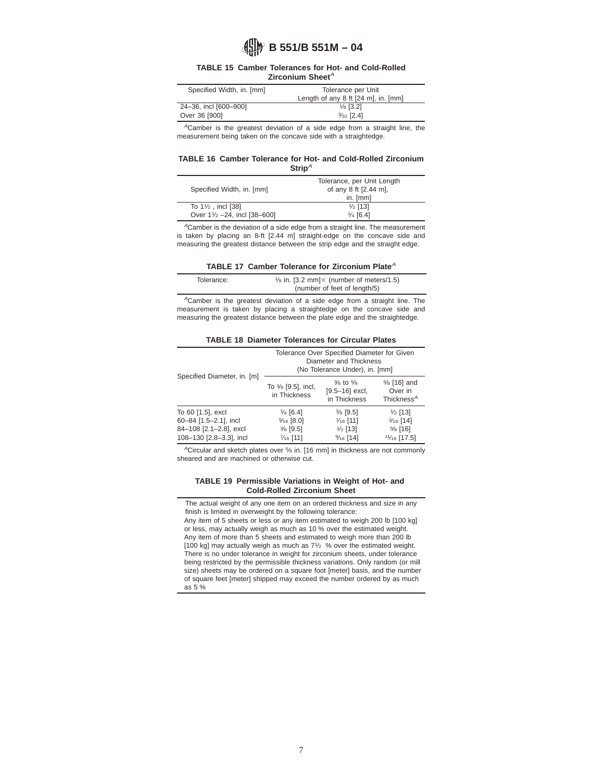#### **TABLE 15 Camber Tolerances for Hot- and Cold-Rolled Zirconium Sheet<sup>A</sup>**

| Specified Width, in. [mm] | Tolerance per Unit                  |
|---------------------------|-------------------------------------|
|                           | Length of any 8 ft [24 m], in. [mm] |
| 24-36, incl [600-900]     | $\frac{1}{8}$ [3.2]                 |
| Over 36 [900]             | $\frac{3}{32}$ [2.4]                |

<sup>A</sup>Camber is the greatest deviation of a side edge from a straight line, the measurement being taken on the concave side with a straightedge.

#### **TABLE 16 Camber Tolerance for Hot- and Cold-Rolled Zirconium** Strip<sup>A</sup>

| Specified Width, in. [mm]     | Tolerance, per Unit Length<br>of any 8 ft [2.44 m], |
|-------------------------------|-----------------------------------------------------|
|                               | in. $[mm]$                                          |
| To $1\frac{1}{2}$ , incl [38] | $\frac{1}{2}$ [13]                                  |
| Over 11/2 - 24, incl [38-600] | $\frac{1}{4}$ [6.4]                                 |

<sup>A</sup>Camber is the deviation of a side edge from a straight line. The measurement is taken by placing an 8-ft [2.44 m] straight-edge on the concave side and measuring the greatest distance between the strip edge and the straight edge.

| TABLE 17 Camber Tolerance for Zirconium Plate $^{\mathcal{A}}$ |  |  |  |  |  |  |  |
|----------------------------------------------------------------|--|--|--|--|--|--|--|
|----------------------------------------------------------------|--|--|--|--|--|--|--|

| Tolerance: | $\frac{1}{6}$ in. [3.2 mm] $\times$ (number of meters/1.5) |
|------------|------------------------------------------------------------|
|            | (number of feet of length/5)                               |

 ${}^A$ Camber is the greatest deviation of a side edge from a straight line. The measurement is taken by placing a straightedge on the concave side and measuring the greatest distance between the plate edge and the straightedge.

|  |  |  | <b>TABLE 18 Diameter Tolerances for Circular Plates</b> |  |  |  |
|--|--|--|---------------------------------------------------------|--|--|--|
|--|--|--|---------------------------------------------------------|--|--|--|

| Specified Diameter, in. [m] |                                               | Tolerance Over Specified Diameter for Given<br>Diameter and Thickness<br>(No Tolerance Under), in. [mm] |                                                 |
|-----------------------------|-----------------------------------------------|---------------------------------------------------------------------------------------------------------|-------------------------------------------------|
|                             | To $\frac{3}{8}$ [9.5], incl,<br>in Thickness | $\frac{3}{8}$ to $\frac{5}{8}$<br>$[9.5 - 16]$ excl,<br>in Thickness                                    | % [16] and<br>Over in<br>Thickness <sup>A</sup> |
| To 60 [1.5], excl           | $\frac{1}{4}$ [6.4]                           | $\frac{3}{8}$ [9.5]                                                                                     | $\frac{1}{2}$ [13]                              |
| 60-84 [1.5-2.1], incl       | $\frac{5}{16}$ [8.0]                          | $\frac{7}{16}$ [11]                                                                                     | $\frac{2}{16}$ [14]                             |
| 84-108 [2.1-2.8], excl      | $\frac{3}{8}$ [9.5]                           | $\frac{1}{2}$ [13]                                                                                      | $\frac{5}{6}$ [16]                              |
| 108-130 [2.8-3.3], incl     | $\frac{7}{16}$ [11]                           | $9/16$ [14]                                                                                             | $1\frac{1}{6}$ [17.5]                           |

ACircular and sketch plates over 5⁄8 in. [16 mm] in thickness are not commonly sheared and are machined or otherwise cut.

#### **TABLE 19 Permissible Variations in Weight of Hot- and Cold-Rolled Zirconium Sheet**

The actual weight of any one item on an ordered thickness and size in any finish is limited in overweight by the following tolerance: Any item of 5 sheets or less or any item estimated to weigh 200 lb [100 kg] or less, may actually weigh as much as 10 % over the estimated weight. Any item of more than 5 sheets and estimated to weigh more than 200 lb [100 kg] may actually weigh as much as 71⁄2 % over the estimated weight. There is no under tolerance in weight for zirconium sheets, under tolerance being restricted by the permissible thickness variations. Only random (or mill size) sheets may be ordered on a square foot [meter] basis, and the number of square feet [meter] shipped may exceed the number ordered by as much as 5 %